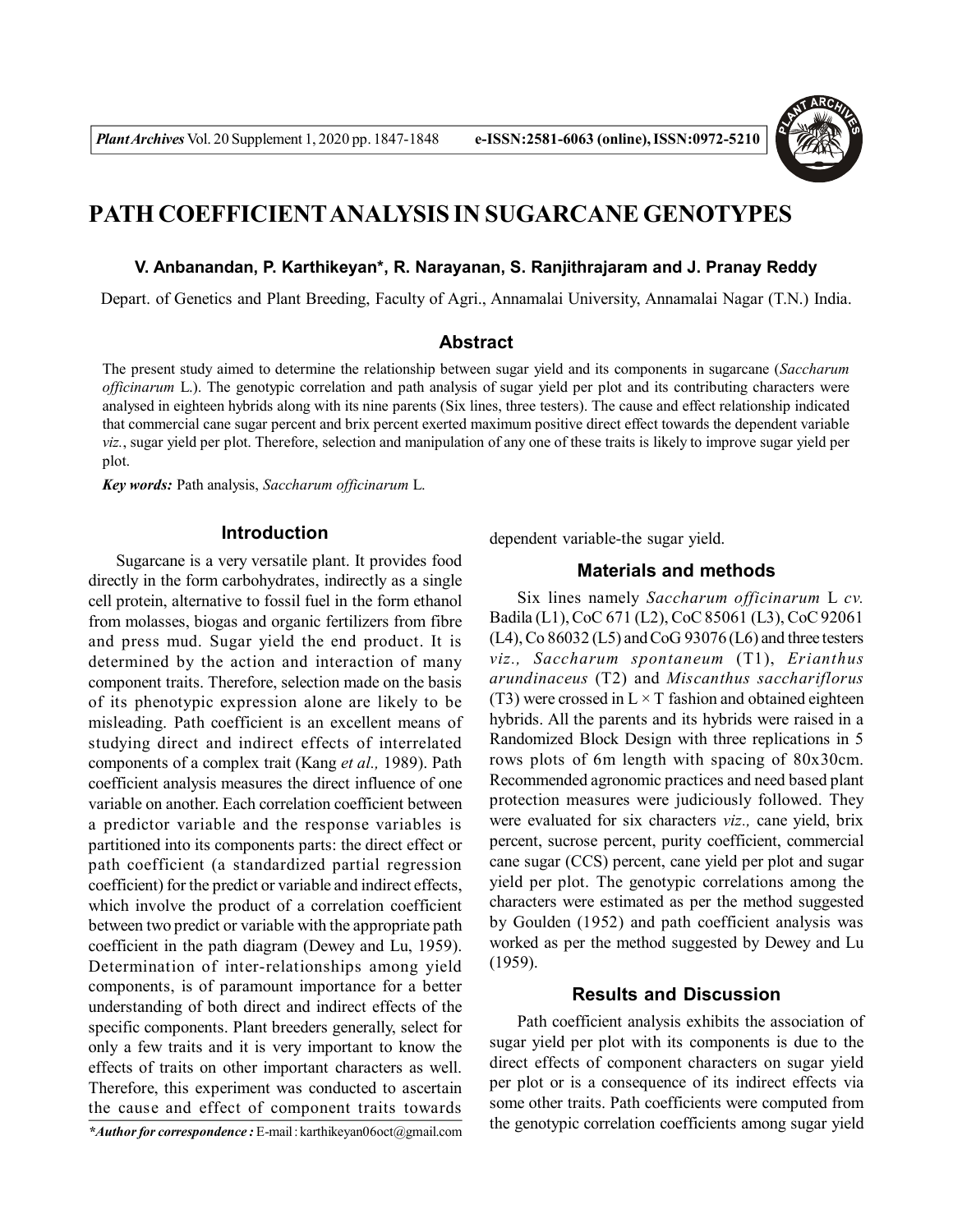

# **PATH COEFFICIENTANALYSIS IN SUGARCANE GENOTYPES**

#### **V. Anbanandan, P. Karthikeyan\*, R. Narayanan, S. Ranjithrajaram and J. Pranay Reddy**

Depart. of Genetics and Plant Breeding, Faculty of Agri., Annamalai University, Annamalai Nagar (T.N.) India.

## **Abstract**

The present study aimed to determine the relationship between sugar yield and its components in sugarcane (*Saccharum officinarum* L.). The genotypic correlation and path analysis of sugar yield per plot and its contributing characters were analysed in eighteen hybrids along with its nine parents (Six lines, three testers). The cause and effect relationship indicated that commercial cane sugar percent and brix percent exerted maximum positive direct effect towards the dependent variable *viz.*, sugar yield per plot. Therefore, selection and manipulation of any one of these traits is likely to improve sugar yield per plot.

*Key words:* Path analysis, *Saccharum officinarum* L.

### **Introduction**

Sugarcane is a very versatile plant. It provides food directly in the form carbohydrates, indirectly as a single cell protein, alternative to fossil fuel in the form ethanol from molasses, biogas and organic fertilizers from fibre and press mud. Sugar yield the end product. It is determined by the action and interaction of many component traits. Therefore, selection made on the basis of its phenotypic expression alone are likely to be misleading. Path coefficient is an excellent means of studying direct and indirect effects of interrelated components of a complex trait (Kang *et al.,* 1989). Path coefficient analysis measures the direct influence of one variable on another. Each correlation coefficient between a predictor variable and the response variables is partitioned into its components parts: the direct effect or path coefficient (a standardized partial regression coefficient) for the predict or variable and indirect effects, which involve the product of a correlation coefficient between two predict or variable with the appropriate path coefficient in the path diagram (Dewey and Lu, 1959). Determination of inter-relationships among yield components, is of paramount importance for a better understanding of both direct and indirect effects of the specific components. Plant breeders generally, select for only a few traits and it is very important to know the effects of traits on other important characters as well. Therefore, this experiment was conducted to ascertain the cause and effect of component traits towards

dependent variable-the sugar yield.

## **Materials and methods**

Six lines namely *Saccharum officinarum* L *cv.* Badila (L1), CoC 671 (L2), CoC 85061 (L3), CoC 92061 (L4), Co 86032 (L5) and CoG 93076 (L6) and three testers *viz., Saccharum spontaneum* (T1), *Erianthus arundinaceus* (T2) and *Miscanthus sacchariflorus* (T3) were crossed in  $L \times T$  fashion and obtained eighteen hybrids. All the parents and its hybrids were raised in a Randomized Block Design with three replications in 5 rows plots of 6m length with spacing of 80x30cm. Recommended agronomic practices and need based plant protection measures were judiciously followed. They were evaluated for six characters *viz.,* cane yield, brix percent, sucrose percent, purity coefficient, commercial cane sugar (CCS) percent, cane yield per plot and sugar yield per plot. The genotypic correlations among the characters were estimated as per the method suggested by Goulden (1952) and path coefficient analysis was worked as per the method suggested by Dewey and Lu (1959).

## **Results and Discussion**

Path coefficient analysis exhibits the association of sugar yield per plot with its components is due to the direct effects of component characters on sugar yield per plot or is a consequence of its indirect effects via some other traits. Path coefficients were computed from the genotypic correlation coefficients among sugar yield

*<sup>\*</sup>Author for correspondence :* E-mail : karthikeyan06oct@gmail.com